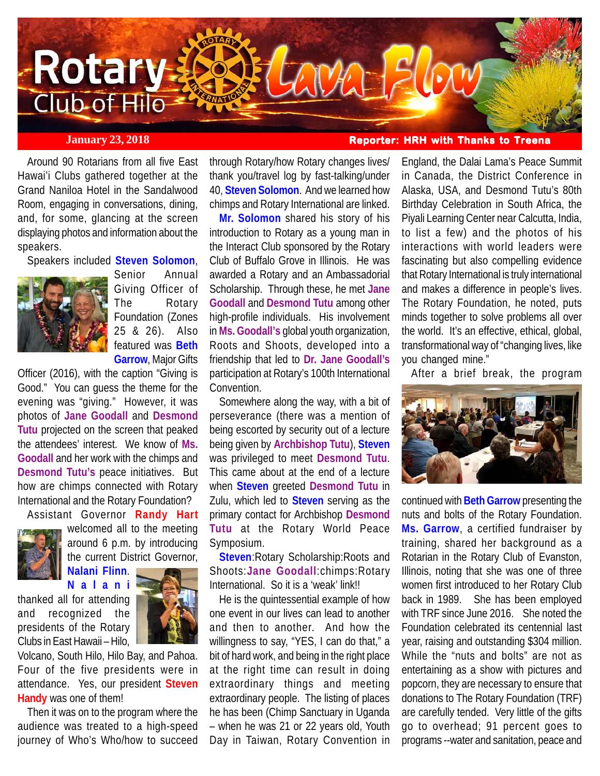

Around 90 Rotarians from all five East Hawai'i Clubs gathered together at the Grand Naniloa Hotel in the Sandalwood Room, engaging in conversations, dining, and, for some, glancing at the screen displaying photos and information about the speakers.

Speakers included **Steven Solomon**,



Senior Annual Giving Officer of The Rotary Foundation (Zones 25 & 26). Also featured was **Beth Garrow**, Major Gifts

Officer (2016), with the caption "Giving is Good." You can guess the theme for the evening was "giving." However, it was photos of **Jane Goodall** and **Desmond Tutu** projected on the screen that peaked the attendees' interest. We know of **Ms. Goodall** and her work with the chimps and **Desmond Tutu's** peace initiatives. But how are chimps connected with Rotary International and the Rotary Foundation?

Assistant Governor **Randy Hart**



welcomed all to the meeting around 6 p.m. by introducing the current District Governor, **Nalani Flinn**.

**Nalani** thanked all for attending and recognized the

Clubs in East Hawaii – Hilo,

Volcano, South Hilo, Hilo Bay, and Pahoa. Four of the five presidents were in attendance. Yes, our president **Steven Handy** was one of them!

Then it was on to the program where the audience was treated to a high-speed journey of Who's Who/how to succeed

through Rotary/how Rotary changes lives/ thank you/travel log by fast-talking/under 40, **Steven Solomon**. And we learned how chimps and Rotary International are linked.

**Mr. Solomon** shared his story of his introduction to Rotary as a young man in the Interact Club sponsored by the Rotary Club of Buffalo Grove in Illinois. He was awarded a Rotary and an Ambassadorial Scholarship. Through these, he met **Jane Goodall** and **Desmond Tutu** among other high-profile individuals. His involvement in **Ms. Goodall's** global youth organization, Roots and Shoots, developed into a friendship that led to **Dr. Jane Goodall's** participation at Rotary's 100th International Convention.

Somewhere along the way, with a bit of perseverance (there was a mention of being escorted by security out of a lecture being given by **Archbishop Tutu**), **Steven** was privileged to meet **Desmond Tutu**. This came about at the end of a lecture when **Steven** greeted **Desmond Tutu** in Zulu, which led to **Steven** serving as the primary contact for Archbishop **Desmond Tutu** at the Rotary World Peace Symposium.

**Steven**:Rotary Scholarship:Roots and Shoots:**Jane Goodall**:chimps:Rotary International. So it is a 'weak' link!!

He is the quintessential example of how one event in our lives can lead to another and then to another. And how the willingness to say, "YES, I can do that," a bit of hard work, and being in the right place at the right time can result in doing extraordinary things and meeting extraordinary people. The listing of places he has been (Chimp Sanctuary in Uganda – when he was 21 or 22 years old, Youth Day in Taiwan, Rotary Convention in

**January 23, 2018 Reporter: HRH with Thanks to Treena** 

England, the Dalai Lama's Peace Summit in Canada, the District Conference in Alaska, USA, and Desmond Tutu's 80th Birthday Celebration in South Africa, the Piyali Learning Center near Calcutta, India, to list a few) and the photos of his interactions with world leaders were fascinating but also compelling evidence that Rotary International is truly international and makes a difference in people's lives. The Rotary Foundation, he noted, puts minds together to solve problems all over the world. It's an effective, ethical, global, transformational way of "changing lives, like you changed mine."

After a brief break, the program



continued with **Beth Garrow** presenting the nuts and bolts of the Rotary Foundation. **Ms. Garrow**, a certified fundraiser by training, shared her background as a Rotarian in the Rotary Club of Evanston, Illinois, noting that she was one of three women first introduced to her Rotary Club back in 1989. She has been employed with TRF since June 2016. She noted the Foundation celebrated its centennial last year, raising and outstanding \$304 million. While the "nuts and bolts" are not as entertaining as a show with pictures and popcorn, they are necessary to ensure that donations to The Rotary Foundation (TRF) are carefully tended. Very little of the gifts go to overhead; 91 percent goes to programs --water and sanitation, peace and